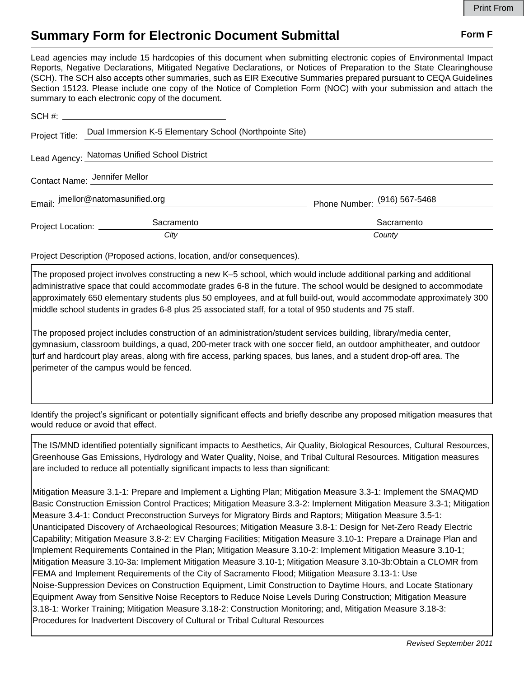## **Summary Form for Electronic Document Submittal Form F Form F**

Lead agencies may include 15 hardcopies of this document when submitting electronic copies of Environmental Impact Reports, Negative Declarations, Mitigated Negative Declarations, or Notices of Preparation to the State Clearinghouse (SCH). The SCH also accepts other summaries, such as EIR Executive Summaries prepared pursuant to CEQA Guidelines Section 15123. Please include one copy of the Notice of Completion Form (NOC) with your submission and attach the summary to each electronic copy of the document.

| Project Title:                | Dual Immersion K-5 Elementary School (Northpointe Site) |                              |
|-------------------------------|---------------------------------------------------------|------------------------------|
|                               | Lead Agency: Natomas Unified School District            |                              |
| Contact Name: Jennifer Mellor |                                                         |                              |
|                               | Email: imellor@natomasunified.org                       | Phone Number: (916) 567-5468 |
| Project Location: __________  | Sacramento                                              | Sacramento                   |
|                               | City                                                    | County                       |

Project Description (Proposed actions, location, and/or consequences).

The proposed project involves constructing a new K–5 school, which would include additional parking and additional administrative space that could accommodate grades 6-8 in the future. The school would be designed to accommodate approximately 650 elementary students plus 50 employees, and at full build-out, would accommodate approximately 300 middle school students in grades 6-8 plus 25 associated staff, for a total of 950 students and 75 staff.

The proposed project includes construction of an administration/student services building, library/media center, gymnasium, classroom buildings, a quad, 200-meter track with one soccer field, an outdoor amphitheater, and outdoor turf and hardcourt play areas, along with fire access, parking spaces, bus lanes, and a student drop-off area. The perimeter of the campus would be fenced.

Identify the project's significant or potentially significant effects and briefly describe any proposed mitigation measures that would reduce or avoid that effect.

The IS/MND identified potentially significant impacts to Aesthetics, Air Quality, Biological Resources, Cultural Resources, Greenhouse Gas Emissions, Hydrology and Water Quality, Noise, and Tribal Cultural Resources. Mitigation measures are included to reduce all potentially significant impacts to less than significant:

Mitigation Measure 3.1-1: Prepare and Implement a Lighting Plan; Mitigation Measure 3.3-1: Implement the SMAQMD Basic Construction Emission Control Practices; Mitigation Measure 3.3-2: Implement Mitigation Measure 3.3-1; Mitigation Measure 3.4-1: Conduct Preconstruction Surveys for Migratory Birds and Raptors; Mitigation Measure 3.5-1: Unanticipated Discovery of Archaeological Resources; Mitigation Measure 3.8-1: Design for Net-Zero Ready Electric Capability; Mitigation Measure 3.8-2: EV Charging Facilities; Mitigation Measure 3.10-1: Prepare a Drainage Plan and Implement Requirements Contained in the Plan; Mitigation Measure 3.10-2: Implement Mitigation Measure 3.10-1; Mitigation Measure 3.10-3a: Implement Mitigation Measure 3.10-1; Mitigation Measure 3.10-3b:Obtain a CLOMR from FEMA and Implement Requirements of the City of Sacramento Flood; Mitigation Measure 3.13-1: Use Noise-Suppression Devices on Construction Equipment, Limit Construction to Daytime Hours, and Locate Stationary Equipment Away from Sensitive Noise Receptors to Reduce Noise Levels During Construction; Mitigation Measure 3.18-1: Worker Training; Mitigation Measure 3.18-2: Construction Monitoring; and, Mitigation Measure 3.18-3: Procedures for Inadvertent Discovery of Cultural or Tribal Cultural Resources